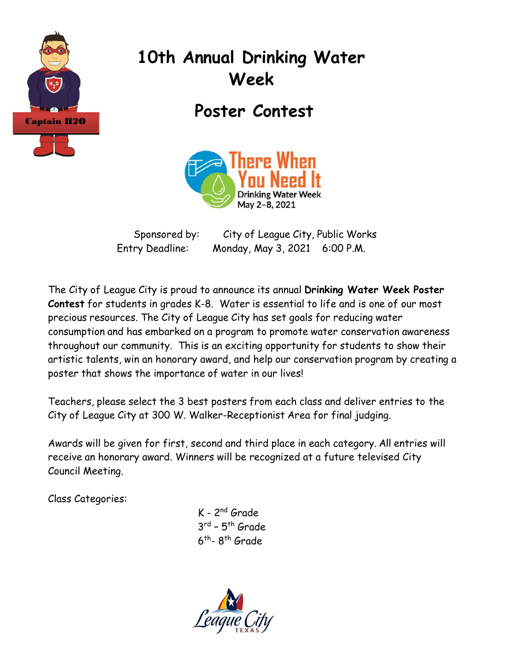

# **10th Annual Drinking Water Week**

**Poster Contest**



Sponsored by: City of League City, Public Works Entry Deadline: Monday, May 3, 2021 6:00 P.M.

The City of League City is proud to announce its annual **Drinking Water Week Poster Contest** for students in grades K-8. Water is essential to life and is one of our most precious resources. The City of League City has set goals for reducing water consumption and has embarked on a program to promote water conservation awareness throughout our community. This is an exciting opportunity for students to show their artistic talents, win an honorary award, and help our conservation program by creating a poster that shows the importance of water in our lives!

Teachers, please select the 3 best posters from each class and deliver entries to the City of League City at 300 W. Walker-Receptionist Area for final judging.

Awards will be given for first, second and third place in each category. All entries will receive an honorary award. Winners will be recognized at a future televised City Council Meeting.

Class Categories:

K - 2nd Grade  $3^{rd}$  –  $5^{th}$  Grade.  $6<sup>th</sup>$ - 8<sup>th</sup> Grade

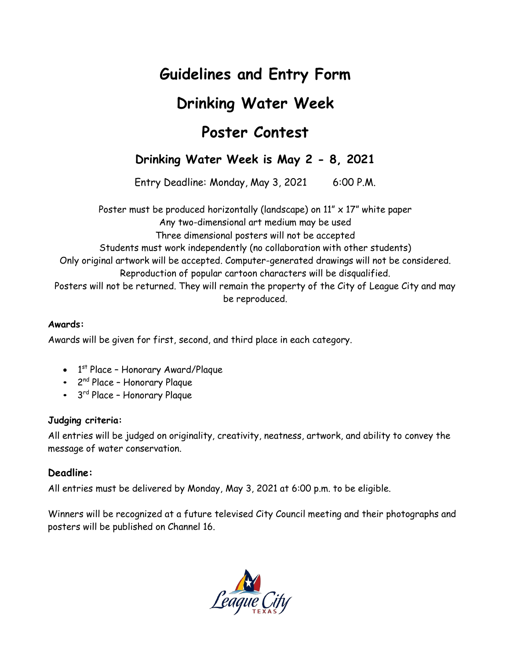## **Guidelines and Entry Form**

## **Drinking Water Week**

## **Poster Contest**

### **Drinking Water Week is May 2 - 8, 2021**

Entry Deadline: Monday, May 3, 2021 6:00 P.M.

Poster must be produced horizontally (landscape) on  $11'' \times 17''$  white paper

Any two-dimensional art medium may be used

Three dimensional posters will not be accepted

Students must work independently (no collaboration with other students)

Only original artwork will be accepted. Computer-generated drawings will not be considered.

Reproduction of popular cartoon characters will be disqualified.

Posters will not be returned. They will remain the property of the City of League City and may be reproduced.

#### **Awards:**

Awards will be given for first, second, and third place in each category.

- 1<sup>st</sup> Place Honorary Award/Plaque
- 2nd Place Honorary Plaque
- 3<sup>rd</sup> Place Honorary Plaque

#### **Judging criteria:**

All entries will be judged on originality, creativity, neatness, artwork, and ability to convey the message of water conservation.

#### **Deadline:**

All entries must be delivered by Monday, May 3, 2021 at 6:00 p.m. to be eligible.

Winners will be recognized at a future televised City Council meeting and their photographs and posters will be published on Channel 16.

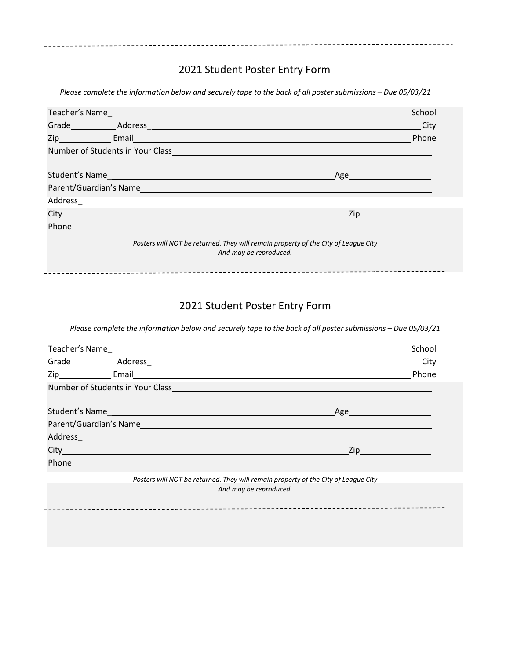### 2021 Student Poster Entry Form

Please complete the information below and securely tape to the back of all poster submissions - Due 05/03/21

|                                                                                                              |                                                                                                                                                                                                                                      |                               | <b>City</b> |  |
|--------------------------------------------------------------------------------------------------------------|--------------------------------------------------------------------------------------------------------------------------------------------------------------------------------------------------------------------------------------|-------------------------------|-------------|--|
|                                                                                                              |                                                                                                                                                                                                                                      |                               | Phone       |  |
|                                                                                                              | Number of Students in Your Class <b>Analytical Contract Contract Contract Contract Contract Contract Contract Contract Contract Contract Contract Contract Contract Contract Contract Contract Contract Contract Contract Contra</b> |                               |             |  |
|                                                                                                              |                                                                                                                                                                                                                                      | Age https://www.facebook.com/ |             |  |
|                                                                                                              |                                                                                                                                                                                                                                      |                               |             |  |
|                                                                                                              |                                                                                                                                                                                                                                      |                               |             |  |
|                                                                                                              |                                                                                                                                                                                                                                      |                               |             |  |
|                                                                                                              | Phone <u>in the community of the community of the community of the community of the community of the community of the community of the community of the community of the community of the community of the community of the comm</u> |                               |             |  |
| Posters will NOT be returned. They will remain property of the City of League City<br>And may be reproduced. |                                                                                                                                                                                                                                      |                               |             |  |

#### 2021 Student Poster Entry Form

Please complete the information below and securely tape to the back of all poster submissions - Due 05/03/21

|                                                                                                               | School                                                                                                                                                                                                                               |
|---------------------------------------------------------------------------------------------------------------|--------------------------------------------------------------------------------------------------------------------------------------------------------------------------------------------------------------------------------------|
|                                                                                                               |                                                                                                                                                                                                                                      |
|                                                                                                               | Phone                                                                                                                                                                                                                                |
|                                                                                                               |                                                                                                                                                                                                                                      |
|                                                                                                               | Age <u>and the set of the set of the set of the set of the set of the set of the set of the set of the set of the set of the set of the set of the set of the set of the set of the set of the set of the set of the set of the </u> |
|                                                                                                               |                                                                                                                                                                                                                                      |
|                                                                                                               | Zip _______________                                                                                                                                                                                                                  |
| Phone and the contract of the contract of the contract of the contract of the contract of the contract of the |                                                                                                                                                                                                                                      |

*Posters will NOT be returned. They will remain property of the City of League City And may be reproduced.*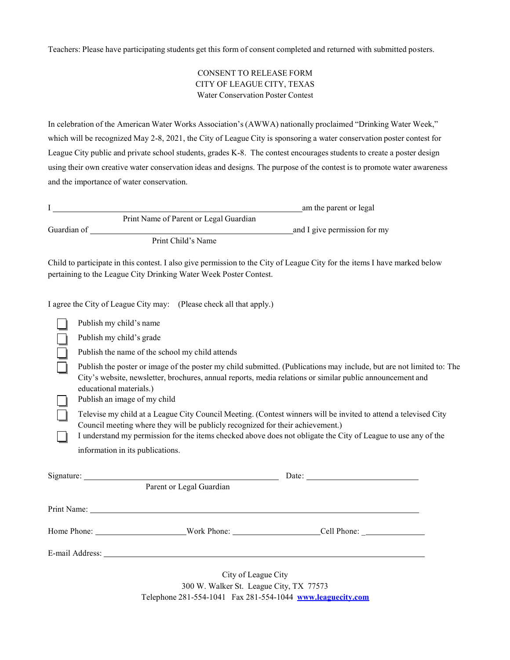Teachers: Please have participating students get this form of consent completed and returned with submitted posters.

#### CONSENT TO RELEASE FORM CITY OF LEAGUE CITY, TEXAS Water Conservation Poster Contest

In celebration of the American Water Works Association's(AWWA) nationally proclaimed "Drinking Water Week," which will be recognized May 2-8, 2021, the City of League City is sponsoring a water conservation poster contest for League City public and private school students, grades K-8. The contest encourages students to create a poster design using their own creative water conservation ideas and designs. The purpose of the contest is to promote water awareness and the importance of water conservation.

|  |                                                                                                                                                                                                                                                                                                                    |                                                                     | am the parent or legal                                                                                                    |  |  |
|--|--------------------------------------------------------------------------------------------------------------------------------------------------------------------------------------------------------------------------------------------------------------------------------------------------------------------|---------------------------------------------------------------------|---------------------------------------------------------------------------------------------------------------------------|--|--|
|  |                                                                                                                                                                                                                                                                                                                    | Print Name of Parent or Legal Guardian                              |                                                                                                                           |  |  |
|  |                                                                                                                                                                                                                                                                                                                    |                                                                     |                                                                                                                           |  |  |
|  |                                                                                                                                                                                                                                                                                                                    | pertaining to the League City Drinking Water Week Poster Contest.   | Child to participate in this contest. I also give permission to the City of League City for the items I have marked below |  |  |
|  |                                                                                                                                                                                                                                                                                                                    | I agree the City of League City may: (Please check all that apply.) |                                                                                                                           |  |  |
|  | Publish my child's name                                                                                                                                                                                                                                                                                            |                                                                     |                                                                                                                           |  |  |
|  | Publish my child's grade                                                                                                                                                                                                                                                                                           |                                                                     |                                                                                                                           |  |  |
|  | Publish the name of the school my child attends                                                                                                                                                                                                                                                                    |                                                                     |                                                                                                                           |  |  |
|  | Publish the poster or image of the poster my child submitted. (Publications may include, but are not limited to: The<br>City's website, newsletter, brochures, annual reports, media relations or similar public announcement and<br>educational materials.)<br>Publish an image of my child                       |                                                                     |                                                                                                                           |  |  |
|  | Televise my child at a League City Council Meeting. (Contest winners will be invited to attend a televised City<br>Council meeting where they will be publicly recognized for their achievement.)<br>I understand my permission for the items checked above does not obligate the City of League to use any of the |                                                                     |                                                                                                                           |  |  |
|  | information in its publications.                                                                                                                                                                                                                                                                                   |                                                                     |                                                                                                                           |  |  |
|  |                                                                                                                                                                                                                                                                                                                    | Parent or Legal Guardian                                            |                                                                                                                           |  |  |
|  |                                                                                                                                                                                                                                                                                                                    |                                                                     |                                                                                                                           |  |  |
|  |                                                                                                                                                                                                                                                                                                                    |                                                                     |                                                                                                                           |  |  |
|  |                                                                                                                                                                                                                                                                                                                    |                                                                     |                                                                                                                           |  |  |
|  |                                                                                                                                                                                                                                                                                                                    | City of League City                                                 |                                                                                                                           |  |  |

300 W. Walker St. League City, TX 77573 Telephone 281-554-1041 Fax 281-554-1044 **www.leaguecity.com**